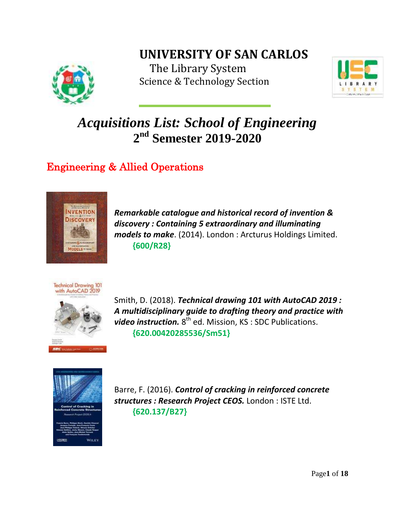# **UNIVERSITY OF SAN CARLOS**



The Library System Science & Technology Section



# *Acquisitions List: School of Engineering* **2 nd Semester 2019-2020**

### Engineering & Allied Operations



*Remarkable catalogue and historical record of invention & discovery : Containing 5 extraordinary and illuminating models to make*. (2014). London : Arcturus Holdings Limited.  **{600/R28}**



Smith, D. (2018). *Technical drawing 101 with AutoCAD 2019 : A multidisciplinary guide to drafting theory and practice with*  video instruction. 8<sup>th</sup> ed. Mission, KS: SDC Publications.  **{620.00420285536/Sm51}**



Barre, F. (2016). *Control of cracking in reinforced concrete structures : Research Project CEOS.* London : ISTE Ltd.  **{620.137/B27}**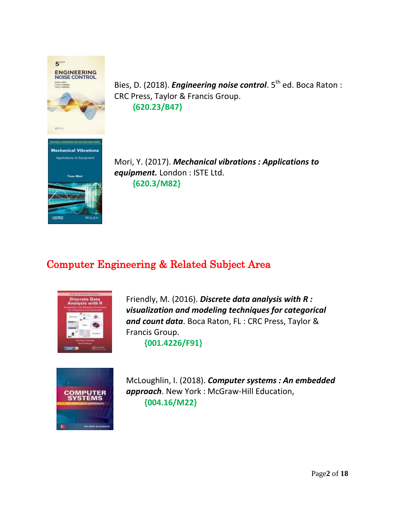

Bies, D. (2018). *Engineering noise control*. 5<sup>th</sup> ed. Boca Raton : CRC Press, Taylor & Francis Group.  **{620.23/B47}**



Mori, Y. (2017). *Mechanical vibrations : Applications to equipment.* London : ISTE Ltd. **{620.3/M82}**

### Computer Engineering & Related Subject Area



Friendly, M. (2016). *Discrete data analysis with R : visualization and modeling techniques for categorical and count data*. Boca Raton, FL : CRC Press, Taylor & Francis Group.

 **{001.4226/F91}**



McLoughlin, I. (2018). *Computer systems : An embedded approach*. New York : McGraw-Hill Education,  **{004.16/M22}**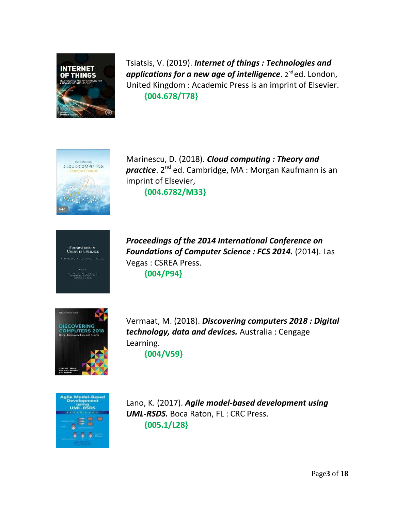

Tsiatsis, V. (2019). *Internet of things : Technologies and applications for a new age of intelligence.* **2<sup>nd</sup>ed. London,** United Kingdom : Academic Press is an imprint of Elsevier.  **{004.678/T78}**



Marinescu, D. (2018). *Cloud computing : Theory and practice*. 2<sup>nd</sup> ed. Cambridge, MA : Morgan Kaufmann is an imprint of Elsevier,  **{004.6782/M33}**



*Proceedings of the 2014 International Conference on Foundations of Computer Science : FCS 2014.* (2014). Las Vegas : CSREA Press.  **{004/P94}**



Vermaat, M. (2018). *Discovering computers 2018 : Digital technology, data and devices.* Australia : Cengage Learning.  **{004/V59}**



Lano, K. (2017). *Agile model-based development using UML-RSDS.* Boca Raton, FL : CRC Press.  **{005.1/L28}**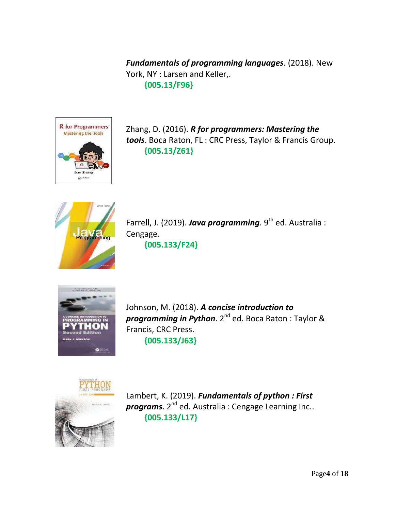*Fundamentals of programming languages*. (2018). New York, NY : Larsen and Keller,.  **{005.13/F96}**



Zhang, D. (2016). *R for programmers: Mastering the tools*. Boca Raton, FL : CRC Press, Taylor & Francis Group.  **{005.13/Z61}**



Farrell, J. (2019). *Java programming*. 9<sup>th</sup> ed. Australia : Cengage.

 **{005.133/F24}**



Johnson, M. (2018). *A concise introduction to programming in Python*. 2nd ed. Boca Raton : Taylor & Francis, CRC Press.  **{005.133/J63}**



Lambert, K. (2019). *Fundamentals of python : First programs*. 2<sup>nd</sup> ed. Australia: Cengage Learning Inc..  **{005.133/L17}**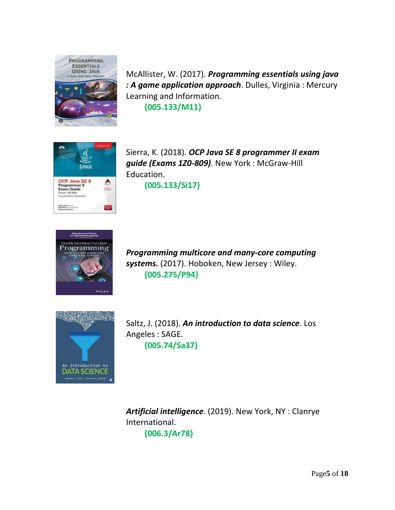

McAllister, W. (2017). *Programming essentials using java : A game application approach*. Dulles, Virginia : Mercury Learning and Information.

 **{005.133/M11}**



Sierra, K. (2018). *OCP Java SE 8 programmer II exam guide (Exams 1Z0-809)*. New York : McGraw-Hill Education.

 **{005.133/Si17}**



*Programming multicore and many-core computing systems.* (2017). Hoboken, New Jersey : Wiley.  **{005.275/P94}**



Saltz, J. (2018). *An introduction to data science*. Los Angeles : SAGE.  **{005.74/Sa37}**

*Artificial intelligence*. (2019). New York, NY : Clanrye International.  **{006.3/Ar78}**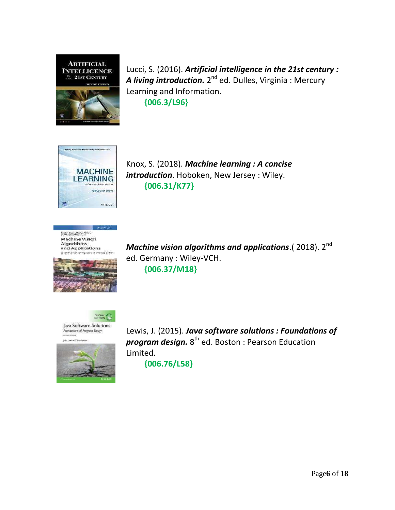

Lucci, S. (2016). *Artificial intelligence in the 21st century : A living introduction.* 2<sup>nd</sup> ed. Dulles, Virginia : Mercury Learning and Information.  **{006.3/L96}**



Knox, S. (2018). *Machine learning : A concise introduction*. Hoboken, New Jersey : Wiley.  **{006.31/K77}**





*Machine vision algorithms and applications.*(2018). 2<sup>nd</sup> ed. Germany : Wiley-VCH.  **{006.37/M18}**



Foundations of Program Design **VOTION** 



Lewis, J. (2015). *Java software solutions : Foundations of program design.* 8 th ed. Boston : Pearson Education Limited.

 **{006.76/L58}**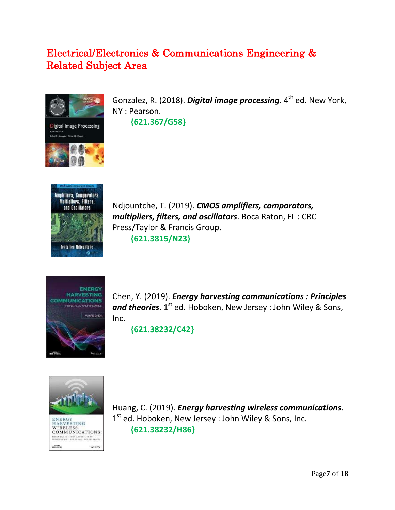### Electrical/Electronics & Communications Engineering & Related Subject Area



Gonzalez, R. (2018). **Digital image processing**. 4<sup>th</sup> ed. New York, NY : Pearson.  **{621.367/G58}**



Ndjountche, T. (2019). *CMOS amplifiers, comparators, multipliers, filters, and oscillators*. Boca Raton, FL : CRC Press/Taylor & Francis Group.  **{621.3815/N23}**



Chen, Y. (2019). *Energy harvesting communications : Principles and theories*. 1<sup>st</sup> ed. Hoboken, New Jersey : John Wiley & Sons, Inc.

 **{621.38232/C42}**



Huang, C. (2019). *Energy harvesting wireless communications*. 1<sup>st</sup> ed. Hoboken, New Jersey : John Wiley & Sons, Inc.  **{621.38232/H86}**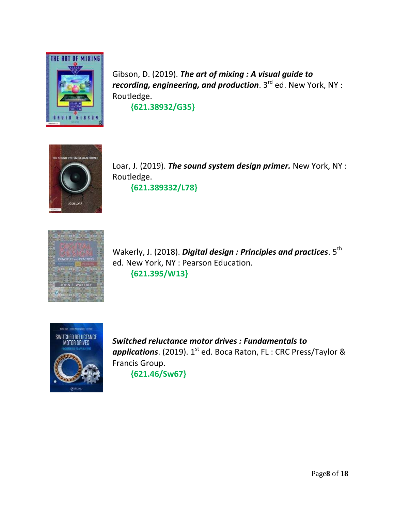

Gibson, D. (2019). *The art of mixing : A visual guide to recording, engineering, and production*. 3 rd ed. New York, NY : Routledge.

 **{621.38932/G35}**



Loar, J. (2019). *The sound system design primer.* New York, NY : Routledge.

**{621.389332/L78}**



Wakerly, J. (2018). **Digital design : Principles and practices**. 5<sup>th</sup> ed. New York, NY : Pearson Education. **{621.395/W13}**



*Switched reluctance motor drives : Fundamentals to*  applications. (2019). 1<sup>st</sup> ed. Boca Raton, FL : CRC Press/Taylor & Francis Group.  **{621.46/Sw67}**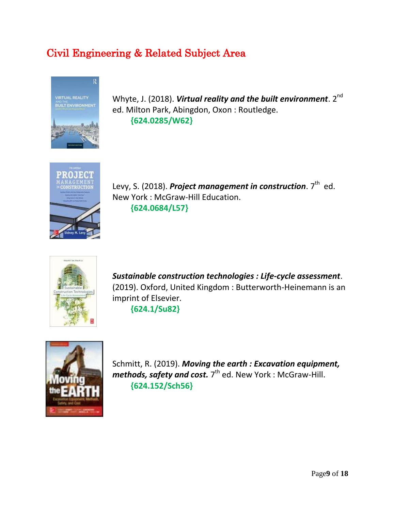### Civil Engineering & Related Subject Area



Whyte, J. (2018). **Virtual reality and the built environment**. 2<sup>nd</sup> ed. Milton Park, Abingdon, Oxon : Routledge.  **{624.0285/W62}**



Levy, S. (2018). Project management in construction. 7<sup>th</sup> ed. New York : McGraw-Hill Education.  **{624.0684/L57}**



*Sustainable construction technologies : Life-cycle assessment*. (2019). Oxford, United Kingdom : Butterworth-Heinemann is an imprint of Elsevier.

**{624.1/Su82}**



Schmitt, R. (2019). *Moving the earth : Excavation equipment,*  methods, safety and cost. 7<sup>th</sup> ed. New York : McGraw-Hill. **{624.152/Sch56}**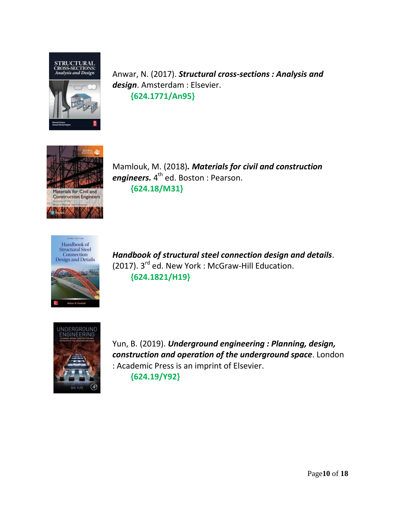

Anwar, N. (2017). *Structural cross-sections : Analysis and design*. Amsterdam : Elsevier.  **{624.1771/An95}**



Mamlouk, M. (2018)*. Materials for civil and construction engineers.* 4 th ed. Boston : Pearson. **{624.18/M31}**







Yun, B. (2019). *Underground engineering : Planning, design, construction and operation of the underground space*. London : Academic Press is an imprint of Elsevier.

**{624.19/Y92}**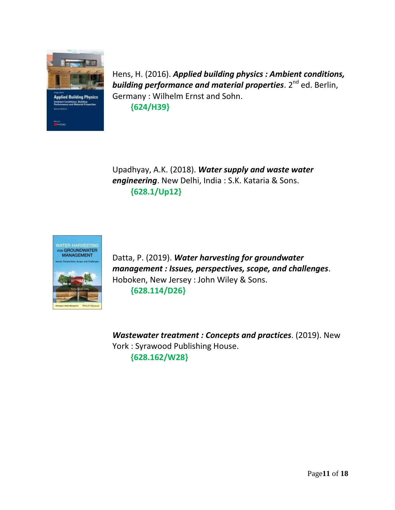

Hens, H. (2016). *Applied building physics : Ambient conditions, building performance and material properties.* **2<sup>nd</sup> ed. Berlin,** Germany : Wilhelm Ernst and Sohn. **{624/H39}**

Upadhyay, A.K. (2018). *Water supply and waste water engineering*. New Delhi, India : S.K. Kataria & Sons. **{628.1/Up12}**

![](_page_10_Picture_3.jpeg)

Datta, P. (2019). *Water harvesting for groundwater management : Issues, perspectives, scope, and challenges*. Hoboken, New Jersey : John Wiley & Sons. **{628.114/D26}**

*Wastewater treatment : Concepts and practices*. (2019). New York : Syrawood Publishing House. **{628.162/W28}**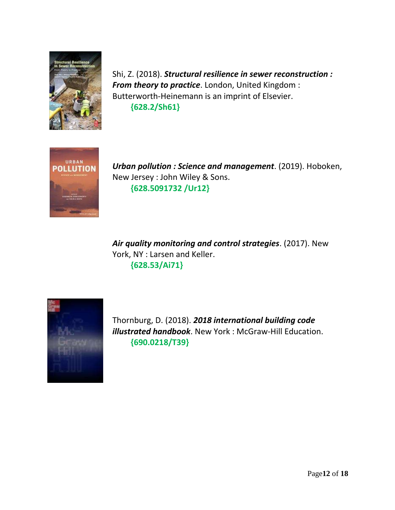![](_page_11_Picture_0.jpeg)

Shi, Z. (2018). *Structural resilience in sewer reconstruction : From theory to practice*. London, United Kingdom : Butterworth-Heinemann is an imprint of Elsevier. **{628.2/Sh61}**

![](_page_11_Picture_2.jpeg)

*Urban pollution : Science and management*. (2019). Hoboken, New Jersey : John Wiley & Sons. **{628.5091732 /Ur12}**

*Air quality monitoring and control strategies*. (2017). New York, NY : Larsen and Keller. **{628.53/Ai71}**

![](_page_11_Picture_5.jpeg)

Thornburg, D. (2018). *2018 international building code illustrated handbook*. New York : McGraw-Hill Education. **{690.0218/T39}**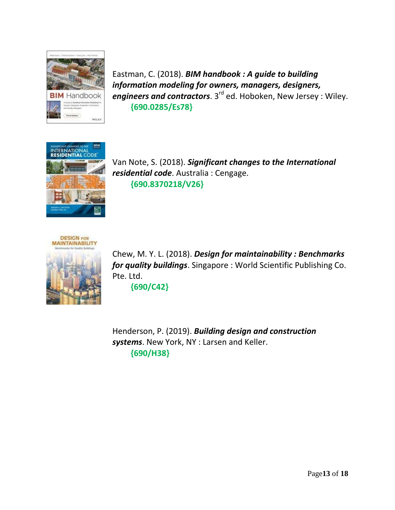![](_page_12_Picture_0.jpeg)

Eastman, C. (2018). *BIM handbook : A guide to building information modeling for owners, managers, designers, engineers and contractors*. 3<sup>rd</sup> ed. Hoboken, New Jersey : Wiley. **{690.0285/Es78}**

![](_page_12_Picture_2.jpeg)

Van Note, S. (2018). *Significant changes to the International residential code*. Australia : Cengage. **{690.8370218/V26}**

![](_page_12_Picture_4.jpeg)

Chew, M. Y. L. (2018). *Design for maintainability : Benchmarks for quality buildings*. Singapore : World Scientific Publishing Co. Pte. Ltd.

**{690/C42}**

Henderson, P. (2019). *Building design and construction systems*. New York, NY : Larsen and Keller. **{690/H38}**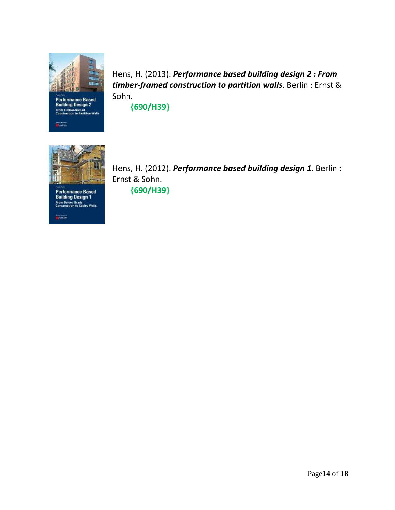![](_page_13_Picture_0.jpeg)

Performance Based<br>Building Design 2<br>From Timber-framed<br>Construction to Partition Walls

**Derektive** 

Hens, H. (2013). *Performance based building design 2 : From timber-framed construction to partition walls*. Berlin : Ernst & Sohn.

**{690/H39}**

![](_page_13_Picture_4.jpeg)

**Performance Based<br>Building Design 1** From Below Grade<br>Construction to Cavity Walls

markieren.<br>**D**essekoere

Hens, H. (2012). *Performance based building design 1*. Berlin : Ernst & Sohn. **{690/H39}**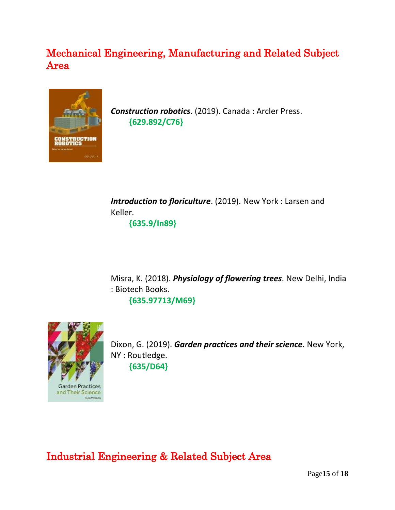### Mechanical Engineering, Manufacturing and Related Subject Area

![](_page_14_Picture_1.jpeg)

*Construction robotics*. (2019). Canada : Arcler Press.  **{629.892/C76}**

*Introduction to floriculture*. (2019). New York : Larsen and Keller.

 **{635.9/In89}**

Misra, K. (2018). *Physiology of flowering trees*. New Delhi, India : Biotech Books.  **{635.97713/M69}**

![](_page_14_Picture_6.jpeg)

Dixon, G. (2019). *Garden practices and their science.* New York, NY : Routledge.  **{635/D64}**

Industrial Engineering & Related Subject Area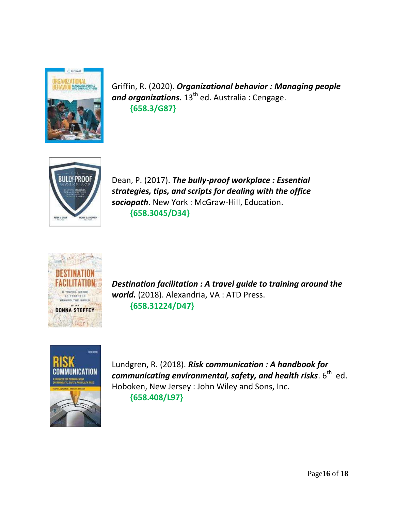![](_page_15_Picture_0.jpeg)

Griffin, R. (2020). *Organizational behavior : Managing people*  and organizations. 13<sup>th</sup> ed. Australia : Cengage.  **{658.3/G87}**

![](_page_15_Picture_2.jpeg)

Dean, P. (2017). *The bully-proof workplace : Essential strategies, tips, and scripts for dealing with the office sociopath*. New York : McGraw-Hill, Education. **{658.3045/D34}**

![](_page_15_Picture_4.jpeg)

*Destination facilitation : A travel guide to training around the world.* (2018). Alexandria, VA : ATD Press.  **{658.31224/D47}**

![](_page_15_Picture_6.jpeg)

Lundgren, R. (2018). *Risk communication : A handbook for*   ${\boldsymbol{communicating}}$  environmental, safety, and health risks.  $6^{\text{th}}$  <code>ed.</code> Hoboken, New Jersey : John Wiley and Sons, Inc.  **{658.408/L97}**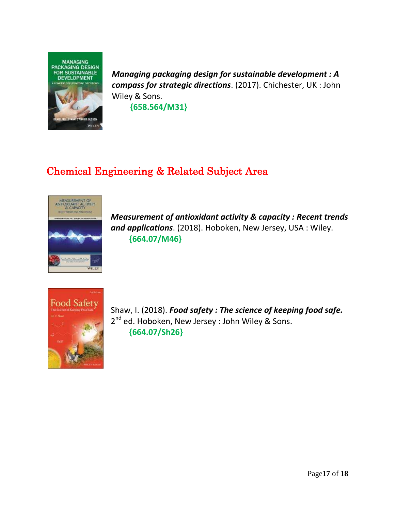![](_page_16_Picture_0.jpeg)

*Managing packaging design for sustainable development : A compass for strategic directions*. (2017). Chichester, UK : John Wiley & Sons.  **{658.564/M31}**

## Chemical Engineering & Related Subject Area

![](_page_16_Picture_3.jpeg)

*Measurement of antioxidant activity & capacity : Recent trends and applications*. (2018). Hoboken, New Jersey, USA : Wiley.  **{664.07/M46}**

![](_page_16_Picture_5.jpeg)

Shaw, I. (2018). *Food safety : The science of keeping food safe.* 2<sup>nd</sup> ed. Hoboken, New Jersey : John Wiley & Sons.  **{664.07/Sh26}**